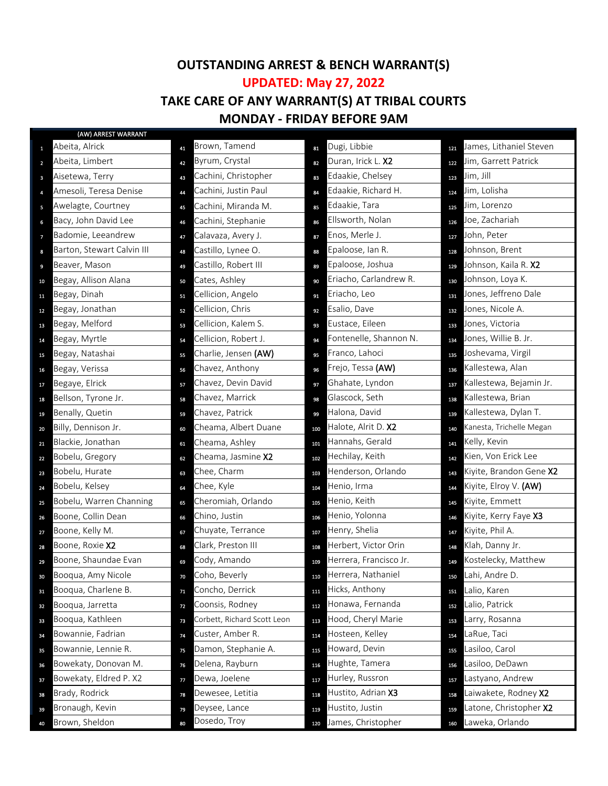## **OUTSTANDING ARREST & BENCH WARRANT(S) UPDATED: May 27, 2022**

## **TAKE CARE OF ANY WARRANT(S) AT TRIBAL COURTS MONDAY - FRIDAY BEFORE 9AM**

|                | (AW) ARREST WARRANT        |    |                             |     |                        |     |                          |
|----------------|----------------------------|----|-----------------------------|-----|------------------------|-----|--------------------------|
| $\mathbf{1}$   | Abeita, Alrick             | 41 | Brown, Tamend               | 81  | Dugi, Libbie           | 121 | James, Lithaniel Steven  |
| $\overline{2}$ | Abeita, Limbert            | 42 | Byrum, Crystal              | 82  | Duran, Irick L. X2     | 122 | Jim, Garrett Patrick     |
| $\mathbf{3}$   | Aisetewa, Terry            | 43 | Cachini, Christopher        | 83  | Edaakie, Chelsey       | 123 | Jim, Jill                |
| $\overline{4}$ | Amesoli, Teresa Denise     | 44 | Cachini, Justin Paul        | 84  | Edaakie, Richard H.    | 124 | Jim, Lolisha             |
| $\,$ 5         | Awelagte, Courtney         | 45 | Cachini, Miranda M.         | 85  | Edaakie, Tara          | 125 | Jim, Lorenzo             |
| 6              | Bacy, John David Lee       | 46 | Cachini, Stephanie          | 86  | Ellsworth, Nolan       | 126 | Joe, Zachariah           |
| 7              | Badomie, Leeandrew         | 47 | Calavaza, Avery J.          | 87  | Enos, Merle J.         | 127 | John, Peter              |
| 8              | Barton, Stewart Calvin III | 48 | Castillo, Lynee O.          | 88  | Epaloose, Ian R.       | 128 | Johnson, Brent           |
| 9              | Beaver, Mason              | 49 | Castillo, Robert III        | 89  | Epaloose, Joshua       | 129 | Johnson, Kaila R. X2     |
| 10             | Begay, Allison Alana       | 50 | Cates, Ashley               | 90  | Eriacho, Carlandrew R. | 130 | Johnson, Loya K.         |
| 11             | Begay, Dinah               | 51 | Cellicion, Angelo           | 91  | Eriacho, Leo           | 131 | Jones, Jeffreno Dale     |
| 12             | Begay, Jonathan            | 52 | Cellicion, Chris            | 92  | Esalio, Dave           | 132 | Jones, Nicole A.         |
| 13             | Begay, Melford             | 53 | Cellicion, Kalem S.         | 93  | Eustace, Eileen        | 133 | Jones, Victoria          |
| 14             | Begay, Myrtle              | 54 | Cellicion, Robert J.        | 94  | Fontenelle, Shannon N. | 134 | Jones, Willie B. Jr.     |
| 15             | Begay, Natashai            | 55 | Charlie, Jensen (AW)        | 95  | Franco, Lahoci         | 135 | Joshevama, Virgil        |
| 16             | Begay, Verissa             | 56 | Chavez, Anthony             | 96  | Frejo, Tessa (AW)      | 136 | Kallestewa, Alan         |
| 17             | Begaye, Elrick             | 57 | Chavez, Devin David         | 97  | Ghahate, Lyndon        | 137 | Kallestewa, Bejamin Jr.  |
| 18             | Bellson, Tyrone Jr.        | 58 | Chavez, Marrick             | 98  | Glascock, Seth         | 138 | Kallestewa, Brian        |
| 19             | Benally, Quetin            | 59 | Chavez, Patrick             | 99  | Halona, David          | 139 | Kallestewa, Dylan T.     |
| 20             | Billy, Dennison Jr.        | 60 | Cheama, Albert Duane        | 100 | Halote, Alrit D. X2    | 140 | Kanesta, Trichelle Megan |
| 21             | Blackie, Jonathan          | 61 | Cheama, Ashley              | 101 | Hannahs, Gerald        | 141 | Kelly, Kevin             |
| 22             | Bobelu, Gregory            | 62 | Cheama, Jasmine X2          | 102 | Hechilay, Keith        | 142 | Kien, Von Erick Lee      |
| 23             | Bobelu, Hurate             | 63 | Chee, Charm                 | 103 | Henderson, Orlando     | 143 | Kiyite, Brandon Gene X2  |
| 24             | Bobelu, Kelsey             | 64 | Chee, Kyle                  | 104 | Henio, Irma            | 144 | Kiyite, Elroy V. (AW)    |
| 25             | Bobelu, Warren Channing    | 65 | Cheromiah, Orlando          | 105 | Henio, Keith           | 145 | Kiyite, Emmett           |
| 26             | Boone, Collin Dean         | 66 | Chino, Justin               | 106 | Henio, Yolonna         | 146 | Kiyite, Kerry Faye X3    |
| 27             | Boone, Kelly M.            | 67 | Chuyate, Terrance           | 107 | Henry, Shelia          | 147 | Kiyite, Phil A.          |
| 28             | Boone, Roxie X2            | 68 | Clark, Preston III          | 108 | Herbert, Victor Orin   | 148 | Klah, Danny Jr.          |
| 29             | Boone, Shaundae Evan       | 69 | Cody, Amando                | 109 | Herrera, Francisco Jr. | 149 | Kostelecky, Matthew      |
| 30             | Booqua, Amy Nicole         | 70 | Coho, Beverly               | 110 | Herrera, Nathaniel     | 150 | Lahi, Andre D.           |
| 31             | Booqua, Charlene B.        | 71 | Concho, Derrick             | 111 | Hicks, Anthony         | 151 | Lalio, Karen             |
| 32             | Booqua, Jarretta           | 72 | Coonsis, Rodney             | 112 | Honawa, Fernanda       | 152 | Lalio, Patrick           |
| 33             | Booqua, Kathleen           | 73 | Corbett, Richard Scott Leon | 113 | Hood, Cheryl Marie     | 153 | arry, Rosanna            |
| 34             | Bowannie, Fadrian          | 74 | Custer, Amber R.            | 114 | Hosteen, Kelley        | 154 | LaRue, Taci              |
| 35             | Bowannie, Lennie R.        | 75 | Damon, Stephanie A.         | 115 | Howard, Devin          | 155 | Lasiloo, Carol           |
| 36             | Bowekaty, Donovan M.       | 76 | Delena, Rayburn             | 116 | Hughte, Tamera         | 156 | Lasiloo, DeDawn          |
| 37             | Bowekaty, Eldred P. X2     | 77 | Dewa, Joelene               | 117 | Hurley, Russron        | 157 | Lastyano, Andrew         |
| 38             | Brady, Rodrick             | 78 | Dewesee, Letitia            | 118 | Hustito, Adrian X3     | 158 | Laiwakete, Rodney X2     |
| 39             | Bronaugh, Kevin            | 79 | Deysee, Lance               | 119 | Hustito, Justin        | 159 | Latone, Christopher X2   |
| 40             | Brown, Sheldon             | 80 | Dosedo, Troy                | 120 | James, Christopher     | 160 | Laweka, Orlando          |